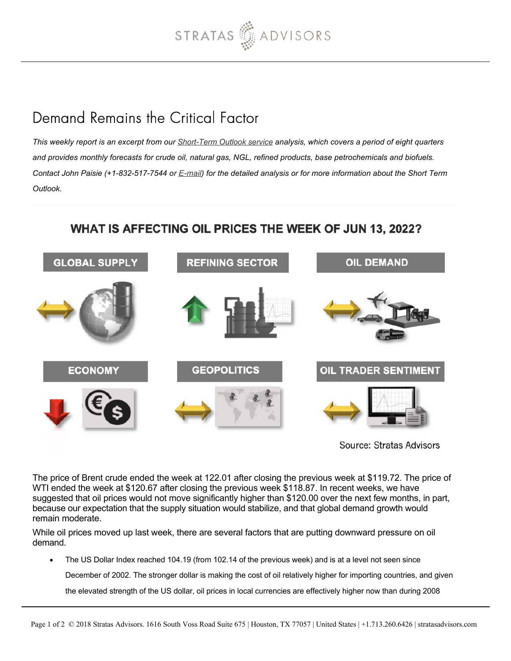

## Demand Remains the Critical Factor

*This weekly report is an excerpt from our [Short-Term Outlook service](https://stratasadvisors.com/Services/Short-Term-Price-Outlook) analysis, which covers a period of eight quarters and provides monthly forecasts for crude oil, natural gas, NGL, refined products, base petrochemicals and biofuels. Contact John Paisie (+1-832-517-7544 or [E-mail](mailto:jpaisie@stratasadvisors.com?subject=WAOP)) for the detailed analysis or for more information about the Short Term Outlook.*

## WHAT IS AFFECTING OIL PRICES THE WEEK OF JUN 13, 2022?



Source: Stratas Advisors

The price of Brent crude ended the week at 122.01 after closing the previous week at \$119.72. The price of WTI ended the week at \$120.67 after closing the previous week \$118.87. In recent weeks, we have suggested that oil prices would not move significantly higher than \$120.00 over the next few months, in part, because our expectation that the supply situation would stabilize, and that global demand growth would remain moderate.

While oil prices moved up last week, there are several factors that are putting downward pressure on oil demand.

The US Dollar Index reached 104.19 (from 102.14 of the previous week) and is at a level not seen since  $\bullet$ 

December of 2002. The stronger dollar is making the cost of oil relatively higher for importing countries, and given

the elevated strength of the US dollar, oil prices in local currencies are effectively higher now than during 2008